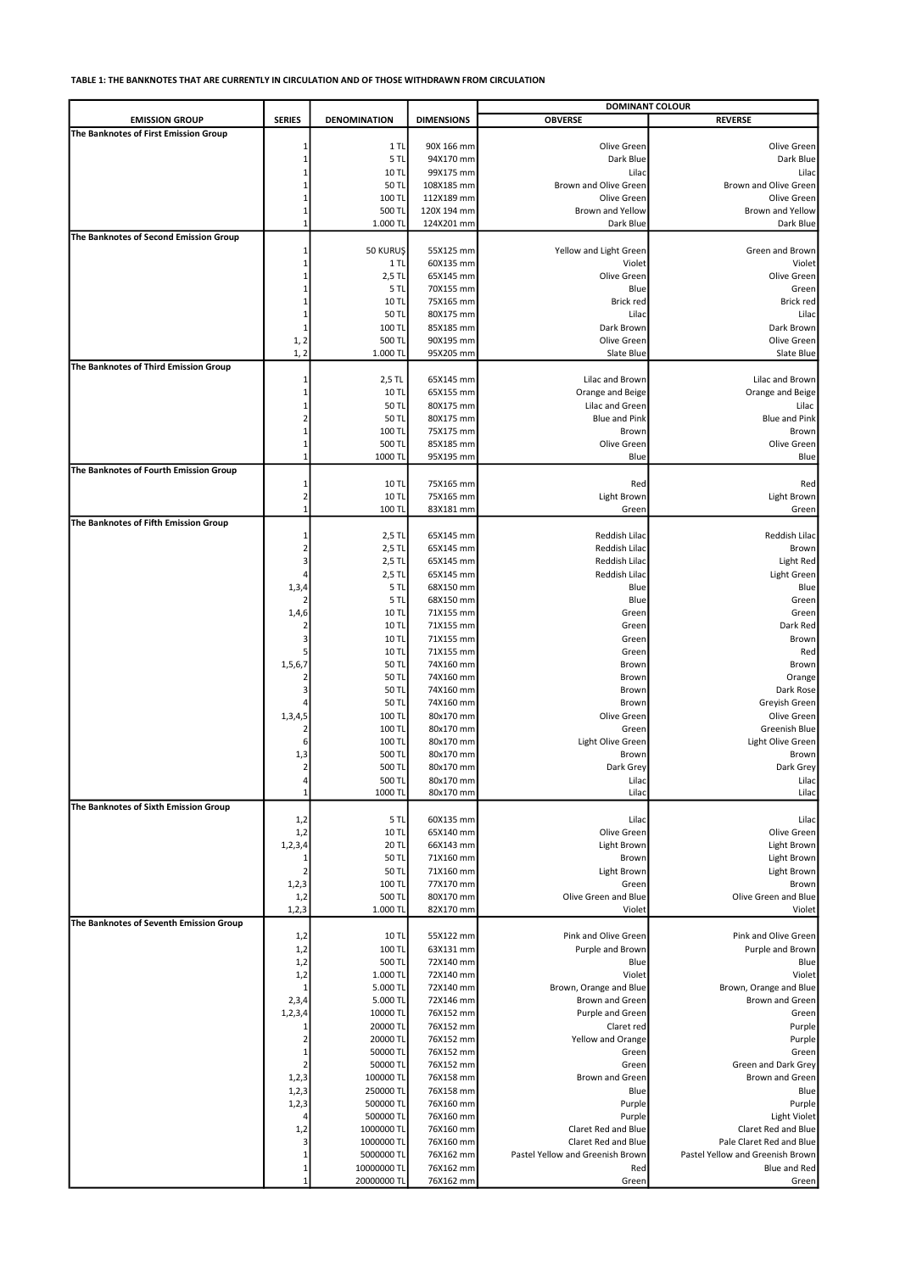|                                         |                                |                        |                         | <b>DOMINANT COLOUR</b>                  |                                  |
|-----------------------------------------|--------------------------------|------------------------|-------------------------|-----------------------------------------|----------------------------------|
| <b>EMISSION GROUP</b>                   | <b>SERIES</b>                  | <b>DENOMINATION</b>    | <b>DIMENSIONS</b>       | <b>OBVERSE</b>                          | <b>REVERSE</b>                   |
| The Banknotes of First Emission Group   |                                |                        |                         |                                         |                                  |
|                                         |                                | $1$ TL<br>5TL          | 90X 166 mm<br>94X170 mm | Olive Green<br>Dark Blue                | Olive Green<br>Dark Blue         |
|                                         |                                | 10 TL                  | 99X175 mm               | Lilac                                   | Lilac                            |
|                                         |                                | 50 TL                  | 108X185 mm              | Brown and Olive Green                   | Brown and Olive Green            |
|                                         |                                | 100 TL                 | 112X189 mm              | Olive Green                             | Olive Green                      |
|                                         |                                | 500 TL                 | 120X 194 mm             | Brown and Yellow                        | Brown and Yellow                 |
|                                         | $\mathbf{1}$                   | 1.000 TL               | 124X201 mm              | Dark Blue                               | Dark Blue                        |
| The Banknotes of Second Emission Group  |                                | 50 KURUŞ               | 55X125 mm               | Yellow and Light Green                  | Green and Brown                  |
|                                         |                                | $1$ TL                 | 60X135 mm               | Violet                                  | Violet                           |
|                                         |                                | 2,5 TL                 | 65X145 mm               | Olive Green                             | Olive Green                      |
|                                         |                                | 5 TL                   | 70X155 mm               | Blue                                    | Green                            |
|                                         |                                | 10 TL                  | 75X165 mm               | Brick red                               | Brick red                        |
|                                         | -1                             | 50 TL<br>100 TL        | 80X175 mm               | Lilac                                   | Lilac                            |
|                                         | 1, 2                           | 500 TL                 | 85X185 mm<br>90X195 mm  | Dark Brown<br>Olive Green               | Dark Brown<br>Olive Green        |
|                                         | 1, 2                           | 1.000 TL               | 95X205 mm               | Slate Blue                              | Slate Blue                       |
| The Banknotes of Third Emission Group   |                                |                        |                         |                                         |                                  |
|                                         | -1                             | 2,5 TL                 | 65X145 mm               | Lilac and Brown                         | Lilac and Brown                  |
|                                         |                                | 10 TL                  | 65X155 mm               | Orange and Beige                        | Orange and Beige                 |
|                                         |                                | 50 TL                  | 80X175 mm               | Lilac and Green<br><b>Blue and Pink</b> | Lilac                            |
|                                         |                                | 50 TL<br>100 TL        | 80X175 mm<br>75X175 mm  | Brown                                   | <b>Blue and Pink</b><br>Brown    |
|                                         |                                | 500 TL                 | 85X185 mm               | Olive Green                             | Olive Green                      |
|                                         | $\mathbf{1}$                   | 1000 TL                | 95X195 mm               | Blue                                    | Blue                             |
| The Banknotes of Fourth Emission Group  |                                |                        |                         |                                         |                                  |
|                                         |                                | 10 TL                  | 75X165 mm               | Red                                     | Red                              |
|                                         | $\overline{2}$<br>$\mathbf{1}$ | <b>10 TL</b>           | 75X165 mm               | Light Brown                             | Light Brown                      |
| The Banknotes of Fifth Emission Group   |                                | 100 TL                 | 83X181 mm               | Green                                   | Green                            |
|                                         |                                | 2,5 TL                 | 65X145 mm               | Reddish Lilac                           | Reddish Lilac                    |
|                                         | $\overline{2}$                 | 2,5 TL                 | 65X145 mm               | Reddish Lilac                           | Brown                            |
|                                         | 3                              | 2,5 TL                 | 65X145 mm               | Reddish Lilac                           | Light Red                        |
|                                         |                                | 2,5 TL                 | 65X145 mm               | Reddish Lilac                           | Light Green                      |
|                                         | 1,3,4                          | 5 TL<br>5 TL           | 68X150 mm<br>68X150 mm  | Blue<br>Blue                            | Blue<br>Green                    |
|                                         | 1,4,6                          | 10 TL                  | 71X155 mm               | Green                                   | Green                            |
|                                         |                                | 10 TL                  | 71X155 mm               | Green                                   | Dark Red                         |
|                                         |                                | <b>10 TL</b>           | 71X155 mm               | Green                                   | Brown                            |
|                                         |                                | <b>10 TL</b>           | 71X155 mm               | Green                                   | Red                              |
|                                         | 1,5,6,7                        | 50 TL                  | 74X160 mm               | Brown                                   | Brown                            |
|                                         |                                | 50 TL<br>50 TL         | 74X160 mm<br>74X160 mm  | Brown<br>Brown                          | Orange<br>Dark Rose              |
|                                         |                                | 50 TL                  | 74X160 mm               | Brown                                   | Greyish Green                    |
|                                         | 1,3,4,5                        | 100 TL                 | 80x170 mm               | Olive Green                             | Olive Green                      |
|                                         |                                | 100 TL                 | 80x170 mm               | Green                                   | Greenish Blue                    |
|                                         |                                | 100 TL                 | 80x170 mm               | Light Olive Green                       | Light Olive Green                |
|                                         | 1,3<br>$\overline{2}$          | 500 TL<br>500 TL       | 80x170 mm<br>80x170 mm  | Brown<br>Dark Grey                      | Brown<br>Dark Grey               |
|                                         | 4                              | 500 TL                 | 80x170 mm               | Lilac                                   | Lilac                            |
|                                         | $\mathbf{1}$                   | 1000 TL                | 80x170 mm               | Lilac                                   | Lilac                            |
| The Banknotes of Sixth Emission Group   |                                |                        |                         |                                         |                                  |
|                                         | 1,2                            | 5 TL                   | 60X135 mm               | Lilac                                   | Lilac                            |
|                                         | 1,2                            | 10 TL<br>20 TL         | 65X140 mm<br>66X143 mm  | Olive Green<br>Light Brown              | Olive Green                      |
|                                         | 1, 2, 3, 4<br>-1               | 50 TL                  | 71X160 mm               | Brown                                   | Light Brown<br>Light Brown       |
|                                         | $\overline{2}$                 | 50 TL                  | 71X160 mm               | Light Brown                             | Light Brown                      |
|                                         | 1,2,3                          | 100 TL                 | 77X170 mm               | Green                                   | Brown                            |
|                                         | 1,2                            | 500 TL                 | 80X170 mm               | Olive Green and Blue                    | Olive Green and Blue             |
|                                         | 1, 2, 3                        | 1.000 TL               | 82X170 mm               | Violet                                  | Violet                           |
| The Banknotes of Seventh Emission Group | 1,2                            | 10 TL                  | 55X122 mm               | Pink and Olive Green                    | Pink and Olive Green             |
|                                         | 1,2                            | 100 TL                 | 63X131 mm               | Purple and Brown                        | Purple and Brown                 |
|                                         | 1,2                            | 500 TL                 | 72X140 mm               | Blue                                    | Blue                             |
|                                         | 1,2                            | 1.000 TL               | 72X140 mm               | Violet                                  | Violet                           |
|                                         | -1                             | 5.000 TL               | 72X140 mm               | Brown, Orange and Blue                  | Brown, Orange and Blue           |
|                                         | 2,3,4                          | 5.000 TL               | 72X146 mm               | Brown and Green                         | Brown and Green                  |
|                                         | 1,2,3,4<br>-1                  | 10000 TL<br>20000 TL   | 76X152 mm<br>76X152 mm  | Purple and Green<br>Claret red          | Green<br>Purple                  |
|                                         | $\overline{2}$                 | 20000 TL               | 76X152 mm               | Yellow and Orange                       | Purple                           |
|                                         |                                | 50000 TL               | 76X152 mm               | Green                                   | Green                            |
|                                         | 2                              | 50000 TL               | 76X152 mm               | Green                                   | Green and Dark Grey              |
|                                         | 1, 2, 3                        | 100000 TL              | 76X158 mm               | Brown and Green                         | Brown and Green                  |
|                                         | 1, 2, 3                        | 250000 TL              | 76X158 mm               | Blue                                    | Blue                             |
|                                         | 1, 2, 3                        | 500000 TL<br>500000 TL | 76X160 mm<br>76X160 mm  | Purple<br>Purple                        | Purple<br><b>Light Violet</b>    |
|                                         | 1,2                            | 1000000 TL             | 76X160 mm               | Claret Red and Blue                     | Claret Red and Blue              |
|                                         | 3                              | 1000000 TL             | 76X160 mm               | Claret Red and Blue                     | Pale Claret Red and Blue         |
|                                         | 1                              | 5000000 TL             | 76X162 mm               | Pastel Yellow and Greenish Brown        | Pastel Yellow and Greenish Brown |
|                                         | $\mathbf{1}$                   | 10000000 TL            | 76X162 mm               | Red                                     | Blue and Red                     |
|                                         | $\mathbf{1}$                   | 20000000 TL            | 76X162 mm               | Green                                   | Green                            |